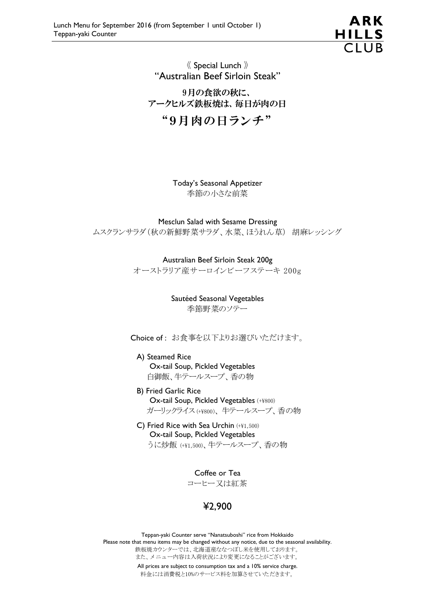

## 《 Special Lunch 》 "Australian Beef Sirloin Steak"

9月の食欲の秋に、 アークヒルズ鉄板焼は、毎日が肉の日 "9月肉の日ランチ"

> Today's Seasonal Appetizer 季節の小さな前菜

Mesclun Salad with Sesame Dressing ムスクランサラダ(秋の新鮮野菜サラダ、水菜、ほうれん草) 胡麻レッシング

> Australian Beef Sirloin Steak 200g オーストラリア産サーロインビーフステーキ 200g

> > Sautéed Seasonal Vegetables 季節野菜のソテー

Choice of : お食事を以下よりお選びいただけます。

A) Steamed Rice Ox-tail Soup, Pickled Vegetables 白御飯、牛テールスープ、香の物

- B) Fried Garlic Rice Ox-tail Soup, Pickled Vegetables (+¥800) ガーリックライス (+¥800)、 牛テールスープ、香の物
- C) Fried Rice with Sea Urchin (+¥1,500) Ox-tail Soup, Pickled Vegetables うに炒飯 (+¥1,500)、牛テールスープ、香の物

Coffee or Tea

コーヒー又は紅茶

¥2,900

Teppan-yaki Counter serve "Nanatsuboshi" rice from Hokkaido Please note that menu items may be changed without any notice, due to the seasonal availability. 鉄板焼カウンターでは、北海道産ななつぼし米を使用しております。 また、メニュー内容は入荷状況により変更になることがございます。 All prices are subject to consumption tax and a 10% service charge. 料金には消費税と10%のサービス料を加算させていただきます。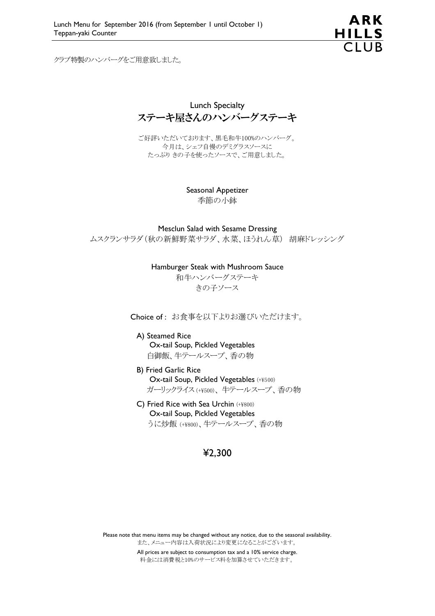

クラブ特製のハンバーグをご用意致しました。

Lunch Specialty ステーキ屋さんのハンバーグステーキ

ご好評いただいております、黒毛和牛100%のハンバーグ。 今月は、シェフ自慢のデミグラスソースに たっぷり きの子を使ったソースで、ご用意しました。

> Seasonal Appetizer 季節の小鉢

Mesclun Salad with Sesame Dressing ムスクランサラダ(秋の新鮮野菜サラダ、水菜、ほうれん草) 胡麻ドレッシング

Hamburger Steak with Mushroom Sauce

和牛ハンバーグステーキ きの子ソース

Choice of : お食事を以下よりお選びいただけます。

A) Steamed Rice Ox-tail Soup, Pickled Vegetables 白御飯、牛テールスープ、香の物

- B) Fried Garlic Rice Ox-tail Soup, Pickled Vegetables (+¥500) ガーリックライス (+¥500)、 牛テールスープ、香の物
- C) Fried Rice with Sea Urchin (+¥800) Ox-tail Soup, Pickled Vegetables うに炒飯 (+¥800)、牛テールスープ、香の物

## ¥2,300

Please note that menu items may be changed without any notice, due to the seasonal availability. また、メニュー内容は入荷状況により変更になることがございます。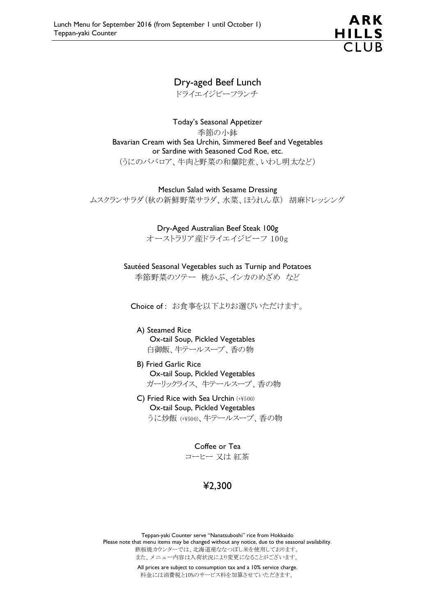

## Dry-aged Beef Lunch

ドライエイジビーフランチ

Today's Seasonal Appetizer 季節の小鉢 Bavarian Cream with Sea Urchin, Simmered Beef and Vegetables or Sardine with Seasoned Cod Roe, etc. (うにのババロア、牛肉と野菜の和蘭陀煮、いわし明太など)

Mesclun Salad with Sesame Dressing ムスクランサラダ(秋の新鮮野菜サラダ、水菜、ほうれん草) 胡麻ドレッシング

Dry-Aged Australian Beef Steak 100g

オーストラリア産ドライエイジビーフ 100g

Sautéed Seasonal Vegetables such as Turnip and Potatoes 季節野菜のソテー 桃かぶ、インカのめざめ など

Choice of : お食事を以下よりお選びいただけます。

A) Steamed Rice Ox-tail Soup, Pickled Vegetables 白御飯、牛テールスープ、香の物

- B) Fried Garlic Rice Ox-tail Soup, Pickled Vegetables ガーリックライス、 牛テールスープ、香の物
- C) Fried Rice with Sea Urchin (+¥500) Ox-tail Soup, Pickled Vegetables うに炒飯 (+¥500)、牛テールスープ、香の物

Coffee or Tea コーヒー 又は 紅茶

¥2,300

Teppan-yaki Counter serve "Nanatsuboshi" rice from Hokkaido Please note that menu items may be changed without any notice, due to the seasonal availability. 鉄板焼カウンターでは、北海道産ななつぼし米を使用しております。 また、メニュー内容は入荷状況により変更になることがございます。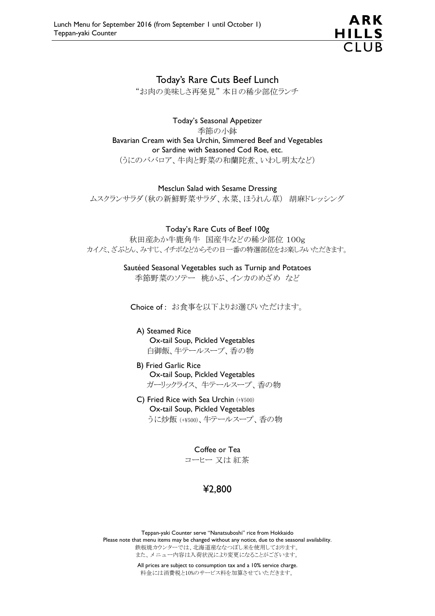

### Today's Rare Cuts Beef Lunch

"お肉の美味しさ再発見" 本日の稀少部位ランチ

Today's Seasonal Appetizer 季節の小鉢 Bavarian Cream with Sea Urchin, Simmered Beef and Vegetables or Sardine with Seasoned Cod Roe, etc. (うにのババロア、牛肉と野菜の和蘭陀煮、いわし明太など)

#### Mesclun Salad with Sesame Dressing

ムスクランサラダ(秋の新鮮野菜サラダ、水菜、ほうれん草) 胡麻ドレッシング

Today's Rare Cuts of Beef 100g

秋田産あか牛鹿角牛 国産牛などの稀少部位 100g カイノミ、ざぶとん、みすじ、イチボなどからその日一番の特選部位をお楽しみいただきます。

> Sautéed Seasonal Vegetables such as Turnip and Potatoes 季節野菜のソテー 桃かぶ、インカのめざめ など

Choice of : お食事を以下よりお選びいただけます。

A) Steamed Rice Ox-tail Soup, Pickled Vegetables 白御飯、牛テールスープ、香の物

#### B) Fried Garlic Rice Ox-tail Soup, Pickled Vegetables ガーリックライス、 牛テールスープ、香の物

C) Fried Rice with Sea Urchin (+¥500) Ox-tail Soup, Pickled Vegetables うに炒飯 (+¥500)、牛テールスープ、香の物

> Coffee or Tea コーヒー 又は 紅茶

# ¥2,800

Teppan-yaki Counter serve "Nanatsuboshi" rice from Hokkaido Please note that menu items may be changed without any notice, due to the seasonal availability. 鉄板焼カウンターでは、北海道産ななつぼし米を使用しております。 また、メニュー内容は入荷状況により変更になることがございます。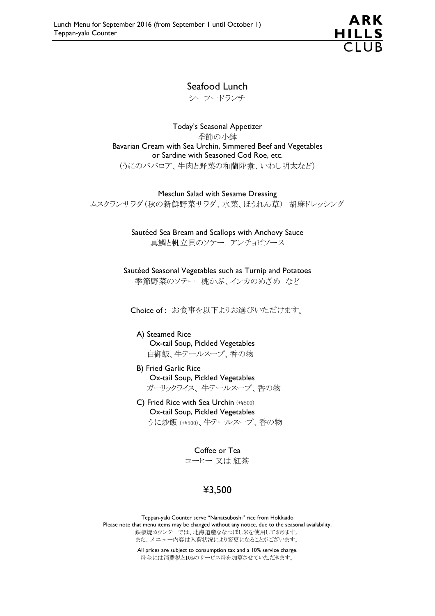

## Seafood Lunch

シーフードランチ

Today's Seasonal Appetizer 季節の小鉢 Bavarian Cream with Sea Urchin, Simmered Beef and Vegetables or Sardine with Seasoned Cod Roe, etc. (うにのババロア、牛肉と野菜の和蘭陀煮、いわし明太など)

Mesclun Salad with Sesame Dressing

ムスクランサラダ(秋の新鮮野菜サラダ、水菜、ほうれん草) 胡麻ドレッシング

Sautéed Sea Bream and Scallops with Anchovy Sauce 真鯛と帆立貝のソテー アンチョビソース

Sautéed Seasonal Vegetables such as Turnip and Potatoes 季節野菜のソテー 桃かぶ、インカのめざめ など

Choice of : お食事を以下よりお選びいただけます。

A) Steamed Rice Ox-tail Soup, Pickled Vegetables 白御飯、牛テールスープ、香の物

- B) Fried Garlic Rice Ox-tail Soup, Pickled Vegetables ガーリックライス、 牛テールスープ、香の物
- C) Fried Rice with Sea Urchin (+¥500) Ox-tail Soup, Pickled Vegetables うに炒飯 (+¥500)、牛テールスープ、香の物

Coffee or Tea コーヒー 又は 紅茶

# ¥3,500

Teppan-yaki Counter serve "Nanatsuboshi" rice from Hokkaido Please note that menu items may be changed without any notice, due to the seasonal availability. 鉄板焼カウンターでは、北海道産ななつぼし米を使用しております。 また、メニュー内容は入荷状況により変更になることがございます。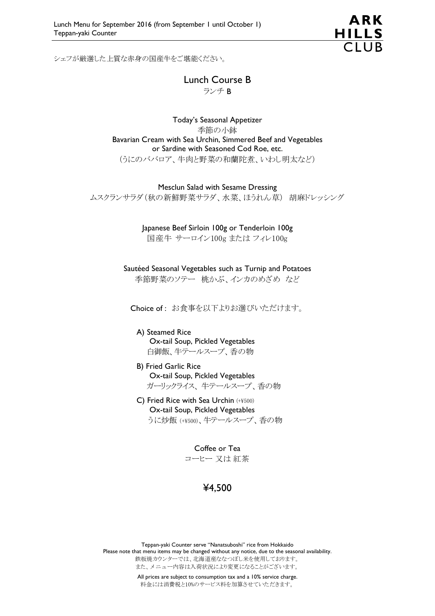

シェフが厳選した上質な赤身の国産牛をご堪能ください。

Lunch Course B ランチ B

Today's Seasonal Appetizer 季節の小鉢 Bavarian Cream with Sea Urchin, Simmered Beef and Vegetables or Sardine with Seasoned Cod Roe, etc. (うにのババロア、牛肉と野菜の和蘭陀煮、いわし明太など)

Mesclun Salad with Sesame Dressing ムスクランサラダ(秋の新鮮野菜サラダ、水菜、ほうれん草) 胡麻ドレッシング

> Japanese Beef Sirloin 100g or Tenderloin 100g 国産牛 サーロイン100g または フィレ100g

Sautéed Seasonal Vegetables such as Turnip and Potatoes 季節野菜のソテー 桃かぶ、インカのめざめ など

Choice of : お食事を以下よりお選びいただけます。

A) Steamed Rice Ox-tail Soup, Pickled Vegetables 白御飯、牛テールスープ、香の物

- B) Fried Garlic Rice Ox-tail Soup, Pickled Vegetables ガーリックライス、 牛テールスープ、香の物
- C) Fried Rice with Sea Urchin (+¥500) Ox-tail Soup, Pickled Vegetables うに炒飯 (+¥500)、牛テールスープ、香の物

Coffee or Tea コーヒー 又は 紅茶

## ¥4,500

Teppan-yaki Counter serve "Nanatsuboshi" rice from Hokkaido Please note that menu items may be changed without any notice, due to the seasonal availability. 鉄板焼カウンターでは、北海道産ななつぼし米を使用しております。 また、メニュー内容は入荷状況により変更になることがございます。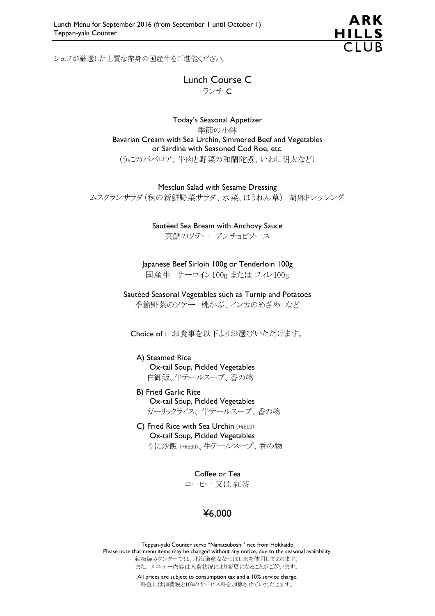

シェフが厳選した上質な赤身の国産牛をご堪能ください。

Lunch Course C ランチ C

Today's Seasonal Appetizer 季節の小鉢 Bavarian Cream with Sea Urchin, Simmered Beef and Vegetables or Sardine with Seasoned Cod Roe, etc. (うにのババロア、牛肉と野菜の和蘭陀煮、いわし明太など)

Mesclun Salad with Sesame Dressing ムスクランサラダ(秋の新鮮野菜サラダ、水菜、ほうれん草) 胡麻ドレッシング

> Sautéed Sea Bream with Anchovy Sauce 真鯛のソテー アンチョビソース

Japanese Beef Sirloin 100g or Tenderloin 100g 国産牛 サーロイン100g または フィレ100g

Sautéed Seasonal Vegetables such as Turnip and Potatoes 季節野菜のソテー 桃かぶ、インカのめざめ など

Choice of : お食事を以下よりお選びいただけます。

- A) Steamed Rice Ox-tail Soup, Pickled Vegetables 白御飯、牛テールスープ、香の物
- B) Fried Garlic Rice Ox-tail Soup, Pickled Vegetables ガーリックライス、 牛テールスープ、香の物
- C) Fried Rice with Sea Urchin (+¥500) Ox-tail Soup, Pickled Vegetables うに炒飯 (+¥500)、牛テールスープ、香の物

Coffee or Tea コーヒー 又は 紅茶

## ¥6,000

Teppan-yaki Counter serve "Nanatsuboshi" rice from Hokkaido Please note that menu items may be changed without any notice, due to the seasonal availability. 鉄板焼カウンターでは、北海道産ななつぼし米を使用しております。 また、メニュー内容は入荷状況により変更になることがございます。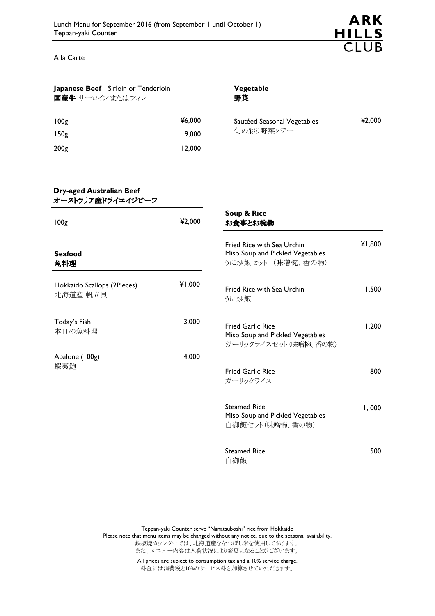

A la Carte

| Japanese Beef Sirloin or Tenderloin<br>国産牛 サーロイン またはフィレ |                 | Vegetable<br>野菜                                                                      |        |
|---------------------------------------------------------|-----------------|--------------------------------------------------------------------------------------|--------|
| 100 <sub>g</sub><br>150 <sub>g</sub>                    | ¥6,000<br>9,000 | Sautéed Seasonal Vegetables<br>旬の彩り野菜ソテー                                             | ¥2,000 |
| 200 <sub>g</sub>                                        | 12,000          |                                                                                      |        |
| <b>Dry-aged Australian Beef</b><br>オーストラリア産ドライエイジビーフ    |                 |                                                                                      |        |
| 100 <sub>g</sub>                                        | ¥2,000          | Soup & Rice<br>お食事とお椀物                                                               |        |
| <b>Seafood</b><br>魚料理                                   |                 | Fried Rice with Sea Urchin<br>Miso Soup and Pickled Vegetables<br>うに炒飯セット (味噌椀、香の物)  | ¥1,800 |
| Hokkaido Scallops (2Pieces)<br>北海道産 帆立貝                 | ¥1,000          | Fried Rice with Sea Urchin<br>うに炒飯                                                   | 1,500  |
| Today's Fish<br>本日の魚料理                                  | 3,000           | <b>Fried Garlic Rice</b><br>Miso Soup and Pickled Vegetables<br>ガーリックライスセット(味噌椀、香の物) | 1,200  |
| Abalone (100g)<br>蝦夷鮑                                   | 4,000           | <b>Fried Garlic Rice</b><br>ガーリックライス                                                 | 800    |
|                                                         |                 | <b>Steamed Rice</b><br>Miso Soup and Pickled Vegetables<br>白御飯セット(味噌椀、香の物)           | I,000  |
|                                                         |                 | <b>Steamed Rice</b><br>白御飯                                                           | 500    |

Teppan-yaki Counter serve "Nanatsuboshi" rice from Hokkaido Please note that menu items may be changed without any notice, due to the seasonal availability. 鉄板焼カウンターでは、北海道産ななつぼし米を使用しております。 また、メニュー内容は入荷状況により変更になることがございます。